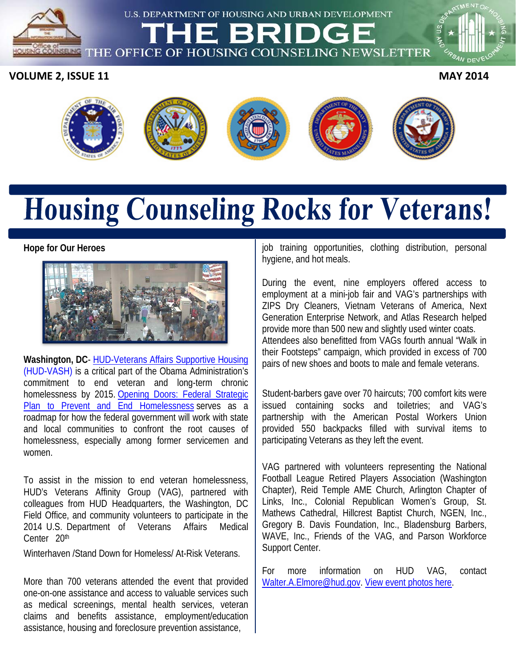U.S. DEPARTMENT OF HOUSING AND URBAN DEVELOPMENT

THE OFFICE OF HOUSING COUNSELING NEWSLETTER

**VOLUME 2, ISSUE 11** MAY 2014

**SELING** 



# **Housing Counseling Rocks for Veterans!**

#### **Hope for Our Heroes**



**Washington, DC**- [HUD-Veterans Affairs Supportive Housing](http://portal.hud.gov/hudportal/HUD?src=/program_offices/public_indian_housing/programs/hcv/vash) (HUD-VASH) is a critical part of the Obama Administration's commitment to end veteran and long-term chronic homelessness by 2015. [Opening Doors: Federal Strategic](http://www.usich.gov/usich_resources/fact_sheets/opening_doors_homelessness_among_veterans/)  [Plan to Prevent and End Homelessness](http://www.usich.gov/usich_resources/fact_sheets/opening_doors_homelessness_among_veterans/) serves as a roadmap for how the federal government will work with state and local communities to confront the root causes of homelessness, especially among former servicemen and women.

To assist in the mission to end veteran homelessness, HUD's Veterans Affinity Group (VAG), partnered with colleagues from HUD Headquarters, the Washington, DC Field Office, and community volunteers to participate in the 2014 U.S. Department of Veterans Affairs Medical Center 20<sup>th</sup>

Winterhaven /Stand Down for Homeless/ At-Risk Veterans.

More than 700 veterans attended the event that provided one-on-one assistance and access to valuable services such as medical screenings, mental health services, veteran claims and benefits assistance, employment/education assistance, housing and foreclosure prevention assistance,

job training opportunities, clothing distribution, personal hygiene, and hot meals.

During the event, nine employers offered access to employment at a mini-job fair and VAG's partnerships with ZIPS Dry Cleaners, Vietnam Veterans of America, Next Generation Enterprise Network, and Atlas Research helped provide more than 500 new and slightly used winter coats. Attendees also benefitted from VAGs fourth annual "Walk in their Footsteps" campaign, which provided in excess of 700 pairs of new shoes and boots to male and female veterans.

Student-barbers gave over 70 haircuts; 700 comfort kits were issued containing socks and toiletries; and VAG's partnership with the American Postal Workers Union provided 550 backpacks filled with survival items to participating Veterans as they left the event.

VAG partnered with volunteers representing the National Football League Retired Players Association (Washington Chapter), Reid Temple AME Church, Arlington Chapter of Links, Inc., Colonial Republican Women's Group, St. Mathews Cathedral, Hillcrest Baptist Church, NGEN, Inc., Gregory B. Davis Foundation, Inc., Bladensburg Barbers, WAVE, Inc., Friends of the VAG, and Parson Workforce Support Center.

For more information on HUD VAG, contact [Walter.A.Elmore@hud.gov.](mailto:Walter.A.Elmore@hud.gov) [View event photos here.](https://www.facebook.com/media/set/?set=a.10152221909903829.1073741856.399624713828&type=3)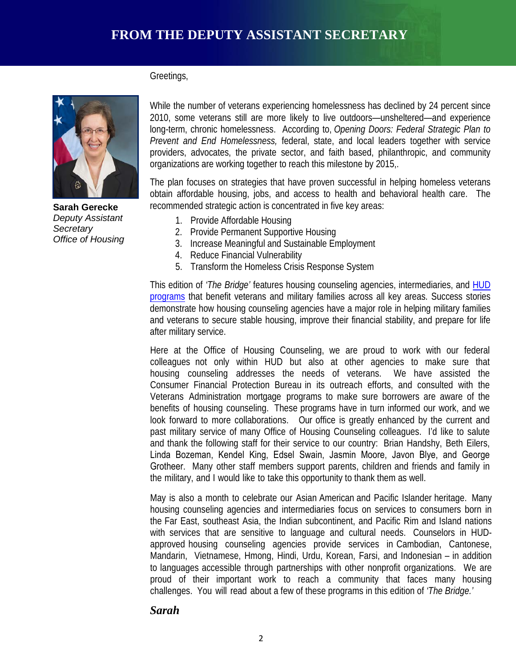Greetings,



**Sarah Gerecke** *Deputy Assistant Secretary Office of Housing*

While the number of veterans experiencing homelessness has declined by 24 percent since 2010, some veterans still are more likely to live outdoors—unsheltered—and experience long-term, chronic homelessness. According to, *Opening Doors: Federal Strategic Plan to Prevent and End Homelessness,* federal, state, and local leaders together with service providers, advocates, the private sector, and faith based, philanthropic, and community organizations are working together to reach this milestone by 2015,.

The plan focuses on strategies that have proven successful in helping homeless veterans obtain affordable housing, jobs, and access to health and behavioral health care. The recommended strategic action is concentrated in five key areas:

- 1. Provide Affordable Housing
- 2. Provide Permanent Supportive Housing
- 3. Increase Meaningful and Sustainable Employment
- 4. Reduce Financial Vulnerability
- 5. Transform the Homeless Crisis Response System

after military service. This edition of *'The Bridge'* features housing counseling agencies, intermediaries, and [HUD](http://portal.hud.gov/hudportal/HUD?src=/program_offices/comm_planning/veteran_information)  [programs](http://portal.hud.gov/hudportal/HUD?src=/program_offices/comm_planning/veteran_information) that benefit veterans and military families across all key areas. Success stories demonstrate how housing counseling agencies have a major role in helping military families and veterans to secure stable housing, improve their financial stability, and prepare for life

Here at the Office of Housing Counseling, we are proud to work with our federal colleagues not only within HUD but also at other agencies to make sure that housing counseling addresses the needs of veterans. We have assisted the Consumer Financial Protection Bureau in its outreach efforts, and consulted with the Veterans Administration mortgage programs to make sure borrowers are aware of the benefits of housing counseling. These programs have in turn informed our work, and we look forward to more collaborations. Our office is greatly enhanced by the current and past military service of many Office of Housing Counseling colleagues. I'd like to salute and thank the following staff for their service to our country: Brian Handshy, Beth Eilers, Linda Bozeman, Kendel King, Edsel Swain, Jasmin Moore, Javon Blye, and George Grotheer. Many other staff members support parents, children and friends and family in the military, and I would like to take this opportunity to thank them as well.

May is also a month to celebrate our Asian American and Pacific Islander heritage. Many housing counseling agencies and intermediaries focus on services to consumers born in the Far East, southeast Asia, the Indian subcontinent, and Pacific Rim and Island nations with services that are sensitive to language and cultural needs. Counselors in HUDapproved housing counseling agencies provide services in Cambodian, Cantonese, Mandarin, Vietnamese, Hmong, Hindi, Urdu, Korean, Farsi, and Indonesian – in addition to languages accessible through partnerships with other nonprofit organizations. We are proud of their important work to reach a community that faces many housing challenges. You will read about a few of these programs in this edition of *'The Bridge.'*

#### *Sarah*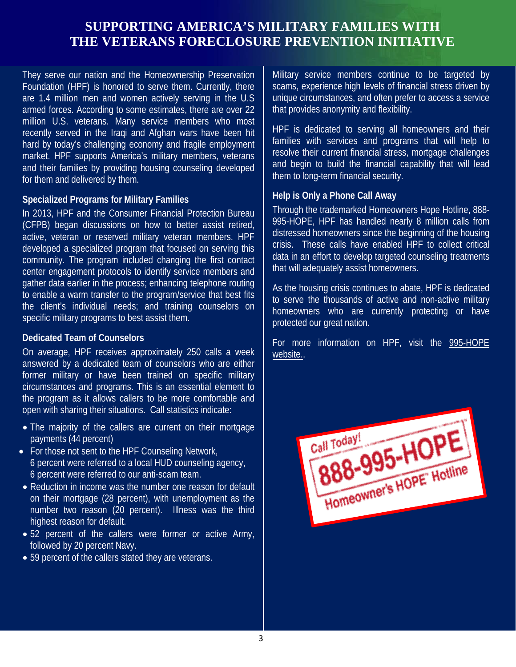## **SUPPORTING AMERICA'S MILITARY FAMILIES WITH THE VETERANS FORECLOSURE PREVENTION INITIATIVE**

 They serve our nation and the Homeownership Preservation Foundation (HPF) is honored to serve them. Currently, there are 1.4 million men and women actively serving in the U.S armed forces. According to some estimates, there are over 22 million U.S. veterans. Many service members who most recently served in the Iraqi and Afghan wars have been hit hard by today's challenging economy and fragile employment market. HPF supports America's military members, veterans and their families by providing housing counseling developed for them and delivered by them.

#### **Specialized Programs for Military Families**

In 2013, HPF and the Consumer Financial Protection Bureau (CFPB) began discussions on how to better assist retired, active, veteran or reserved military veteran members. HPF developed a specialized program that focused on serving this community. The program included changing the first contact center engagement protocols to identify service members and gather data earlier in the process; enhancing telephone routing to enable a warm transfer to the program/service that best fits the client's individual needs; and training counselors on specific military programs to best assist them.

#### **Dedicated Team of Counselors**

On average, HPF receives approximately 250 calls a week answered by a dedicated team of counselors who are either former military or have been trained on specific military circumstances and programs. This is an essential element to the program as it allows callers to be more comfortable and open with sharing their situations. Call statistics indicate:

- The majority of the callers are current on their mortgage payments (44 percent)
- For those not sent to the HPF Counseling Network, 6 percent were referred to a local HUD counseling agency, 6 percent were referred to our anti-scam team.
- Reduction in income was the number one reason for default on their mortgage (28 percent), with unemployment as the number two reason (20 percent). Illness was the third highest reason for default.
- 52 percent of the callers were former or active Army, followed by 20 percent Navy.
- 59 percent of the callers stated they are veterans.

Military service members continue to be targeted by scams, experience high levels of financial stress driven by unique circumstances, and often prefer to access a service that provides anonymity and flexibility.

HPF is dedicated to serving all homeowners and their families with services and programs that will help to resolve their current financial stress, mortgage challenges and begin to build the financial capability that will lead them to long-term financial security.

#### **Help is Only a Phone Call Away**

Through the trademarked Homeowners Hope Hotline, 888- 995-HOPE, HPF has handled nearly 8 million calls from distressed homeowners since the beginning of the housing crisis. These calls have enabled HPF to collect critical data in an effort to develop targeted counseling treatments that will adequately assist homeowners.

As the housing crisis continues to abate, HPF is dedicated to serve the thousands of active and non-active military homeowners who are currently protecting or have protected our great nation.

**CHAMPIONS OF SERVICE CONSUMING** For more information on HPF, visit the 995-HOPE [website..](http://www.995hope.org/)

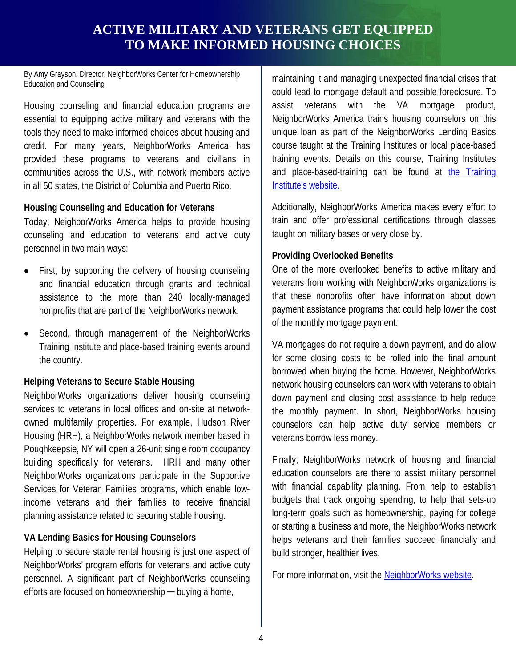## **ACTIVE MILITARY AND VETERANS GET EQUIPPED TO MAKE INFORMED HOUSING CHOICES**

By Amy Grayson, Director, NeighborWorks Center for Homeownership Education and Counseling

Housing counseling and financial education programs are essential to equipping active military and veterans with the tools they need to make informed choices about housing and credit. For many years, NeighborWorks America has provided these programs to veterans and civilians in communities across the U.S., with network members active in all 50 states, the District of Columbia and Puerto Rico.

#### **Housing Counseling and Education for Veterans**

Today, NeighborWorks America helps to provide housing counseling and education to veterans and active duty personnel in two main ways:

- First, by supporting the delivery of housing counseling and financial education through grants and technical assistance to the more than 240 locally-managed nonprofits that are part of the NeighborWorks network,
- Second, through management of the NeighborWorks • Training Institute and place-based training events around the country.

#### **Helping Veterans to Secure Stable Housing**

NeighborWorks organizations deliver housing counseling services to veterans in local offices and on-site at networkowned multifamily properties. For example, Hudson River Housing (HRH), a NeighborWorks network member based in Poughkeepsie, NY will open a 26-unit single room occupancy building specifically for veterans. HRH and many other NeighborWorks organizations participate in the Supportive Services for Veteran Families programs, which enable lowincome veterans and their families to receive financial planning assistance related to securing stable housing.

#### **VA Lending Basics for Housing Counselors**

Helping to secure stable rental housing is just one aspect of NeighborWorks' program efforts for veterans and active duty personnel. A significant part of NeighborWorks counseling efforts are focused on homeownership — buying a home,

maintaining it and managing unexpected financial crises that could lead to mortgage default and possible foreclosure. To assist veterans with the VA mortgage product, NeighborWorks America trains housing counselors on this unique loan as part of the NeighborWorks Lending Basics course taught at the Training Institutes or local place-based training events. Details on this course, Training Institutes and place-based-training can be found at [the Training](http://www.nw.org/training)  [Institute's website.](http://www.nw.org/training)

Additionally, NeighborWorks America makes every effort to train and offer professional certifications through classes taught on military bases or very close by.

#### **Providing Overlooked Benefits**

One of the more overlooked benefits to active military and veterans from working with NeighborWorks organizations is that these nonprofits often have information about down payment assistance programs that could help lower the cost of the monthly mortgage payment.

VA mortgages do not require a down payment, and do allow for some closing costs to be rolled into the final amount borrowed when buying the home. However, NeighborWorks network housing counselors can work with veterans to obtain down payment and closing cost assistance to help reduce the monthly payment. In short, NeighborWorks housing counselors can help active duty service members or veterans borrow less money.

Finally, NeighborWorks network of housing and financial education counselors are there to assist military personnel with financial capability planning. From help to establish budgets that track ongoing spending, to help that sets-up long-term goals such as homeownership, paying for college or starting a business and more, the NeighborWorks network helps veterans and their families succeed financially and build stronger, healthier lives.

For more information, visit the [NeighborWorks](http://www.nw.org/) website.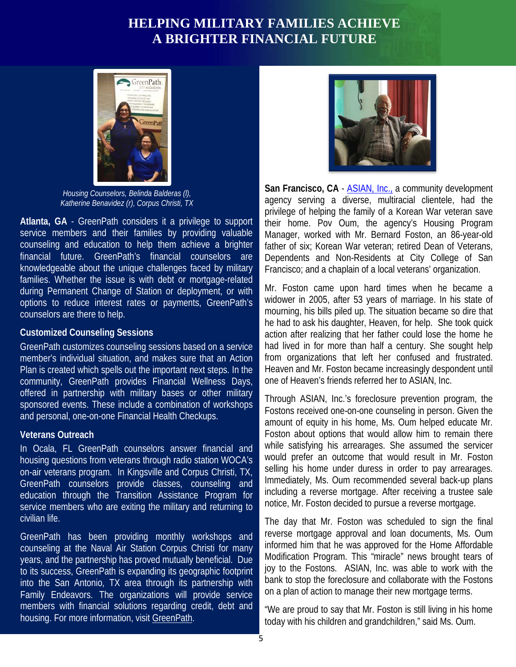## **HELPING MILITARY FAMILIES ACHIEVE A BRIGHTER FINANCIAL FUTURE**



*Housing Counselors, Belinda Balderas (l), Katherine Benavidez (r), Corpus Christi, TX*

**Atlanta, GA** - GreenPath considers it a privilege to support service members and their families by providing valuable counseling and education to help them achieve a brighter financial future. GreenPath's financial counselors are knowledgeable about the unique challenges faced by military families. Whether the issue is with debt or mortgage-related during Permanent Change of Station or deployment, or with options to reduce interest rates or payments, GreenPath's counselors are there to help.

#### **Customized Counseling Sessions**

GreenPath customizes counseling sessions based on a service member's individual situation, and makes sure that an Action Plan is created which spells out the important next steps. In the community, GreenPath provides Financial Wellness Days, offered in partnership with military bases or other military sponsored events. These include a combination of workshops and personal, one-on-one Financial Health Checkups.

#### **Veterans Outreach**

In Ocala, FL GreenPath counselors answer financial and housing questions from veterans through radio station WOCA's on-air veterans program. In Kingsville and Corpus Christi, TX, GreenPath counselors provide classes, counseling and education through the Transition Assistance Program for service members who are exiting the military and returning to civilian life.

GreenPath has been providing monthly workshops and counseling at the Naval Air Station Corpus Christi for many years, and the partnership has proved mutually beneficial. Due to its success, GreenPath is expanding its geographic footprint into the San Antonio, TX area through its partnership with Family Endeavors. The organizations will provide service members with financial solutions regarding credit, debt and housing. For more information, visit [GreenPath.](http://www.greenpath.com/)



**San Francisco, CA** - [ASIAN, Inc.,](http://www.asianinc.org/) a community development agency serving a diverse, multiracial clientele, had the privilege of helping the family of a Korean War veteran save their home. Pov Oum, the agency's Housing Program Manager, worked with Mr. Bernard Foston, an 86-year-old father of six; Korean War veteran; retired Dean of Veterans, Dependents and Non-Residents at City College of San Francisco; and a chaplain of a local veterans' organization.

**CHAMPIONS OF SERVICE AND SERVICE AND SERVICE AND SERVICE AND SERVICE AND SERVICE AND SERVICE AND SERVICE AND SERVICE AND SERVICE AND SERVICE AND SERVICE AND SERVICE AND SERVICE AND SERVICE AND SERVICE AND SERVICE AND SERV** Mr. Foston came upon hard times when he became a widower in 2005, after 53 years of marriage. In his state of mourning, his bills piled up. The situation became so dire that he had to ask his daughter, Heaven, for help. She took quick had lived in for more than half a century. She sought help from organizations that left her confused and frustrated. Heaven and Mr. Foston became increasingly despondent until one of Heaven's friends referred her to ASIAN, Inc.

> Through ASIAN, Inc.'s foreclosure prevention program, the Fostons received one-on-one counseling in person. Given the amount of equity in his home, Ms. Oum helped educate Mr. Foston about options that would allow him to remain there while satisfying his arrearages. She assumed the servicer would prefer an outcome that would result in Mr. Foston selling his home under duress in order to pay arrearages. Immediately, Ms. Oum recommended several back-up plans including a reverse mortgage. After receiving a trustee sale notice, Mr. Foston decided to pursue a reverse mortgage.

> The day that Mr. Foston was scheduled to sign the final reverse mortgage approval and loan documents, Ms. Oum informed him that he was approved for the Home Affordable Modification Program. This "miracle" news brought tears of joy to the Fostons. ASIAN, Inc. was able to work with the bank to stop the foreclosure and collaborate with the Fostons on a plan of action to manage their new mortgage terms.

> "We are proud to say that Mr. Foston is still living in his home today with his children and grandchildren," said Ms. Oum.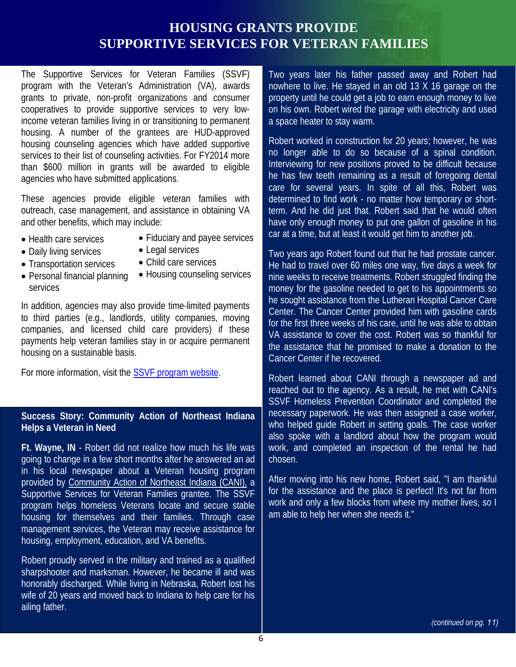## **HOUSING GRANTS PROVIDE SUPPORTIVE SERVICES FOR VETERAN FAMILIES**

The Supportive Services for Veteran Families (SSVF) program with the Veteran's Administration (VA), awards grants to private, non-profit organizations and consumer cooperatives to provide supportive services to very lowincome veteran families living in or transitioning to permanent housing. A number of the grantees are HUD-approved housing counseling agencies which have added supportive services to their list of counseling activities. For FY2014 more than \$600 million in grants will be awarded to eligible agencies who have submitted applications.

These agencies provide eligible veteran families with outreach, case management, and assistance in obtaining VA and other benefits, which may include:

- Health care services
- Fiduciary and payee services
- Daily living services

services

- Legal services • Child care services
- Transportation services
- Personal financial planning • Housing counseling services

In addition, agencies may also provide time-limited payments to third parties (e.g., landlords, utility companies, moving companies, and licensed child care providers) if these payments help veteran families stay in or acquire permanent housing on a sustainable basis.

For more information, visit the [SSVF program](http://www.va.gov/homeless/ssvf.asp) website.

#### **Success Story: Community Action of Northeast Indiana Helps a Veteran in Need**

**Ft. Wayne, IN** - Robert did not realize how much his life was going to change in a few short months after he answered an ad in his local newspaper about a Veteran housing program provided by [Community Action of Northeast Indiana \(CANI\),](https://www.canihelp.org/Pages/default.aspx) a Supportive Services for Veteran Families grantee. The SSVF program helps homeless Veterans locate and secure stable housing for themselves and their families. Through case management services, the Veteran may receive assistance for housing, employment, education, and VA benefits.

Robert proudly served in the military and trained as a qualified sharpshooter and marksman. However, he became ill and was honorably discharged. While living in Nebraska, Robert lost his wife of 20 years and moved back to Indiana to help care for his ailing father.

Two years later his father passed away and Robert had nowhere to live. He stayed in an old 13 X 16 garage on the property until he could get a job to earn enough money to live on his own. Robert wired the garage with electricity and used a space heater to stay warm.

Robert worked in construction for 20 years; however, he was no longer able to do so because of a spinal condition. Interviewing for new positions proved to be difficult because he has few teeth remaining as a result of foregoing dental care for several years. In spite of all this, Robert was determined to find work - no matter how temporary or shortterm. And he did just that. Robert said that he would often have only enough money to put one gallon of gasoline in his car at a time, but at least it would get him to another job.

care providers) if these VA assistance to cover the cost. Robert was so thankful for Two years ago Robert found out that he had prostate cancer. He had to travel over 60 miles one way, five days a week for nine weeks to receive treatments. Robert struggled finding the money for the gasoline needed to get to his appointments so he sought assistance from the Lutheran Hospital Cancer Care Center. The Cancer Center provided him with gasoline cards for the first three weeks of his care, until he was able to obtain the assistance that he promised to make a donation to the Cancer Center if he recovered.

> Robert learned about CANI through a newspaper ad and reached out to the agency. As a result, he met with CANI's SSVF Homeless Prevention Coordinator and completed the necessary paperwork. He was then assigned a case worker, who helped guide Robert in setting goals. The case worker also spoke with a landlord about how the program would work, and completed an inspection of the rental he had chosen.

> After moving into his new home, Robert said, "I am thankful for the assistance and the place is perfect! It's not far from work and only a few blocks from where my mother lives, so I am able to help her when she needs it."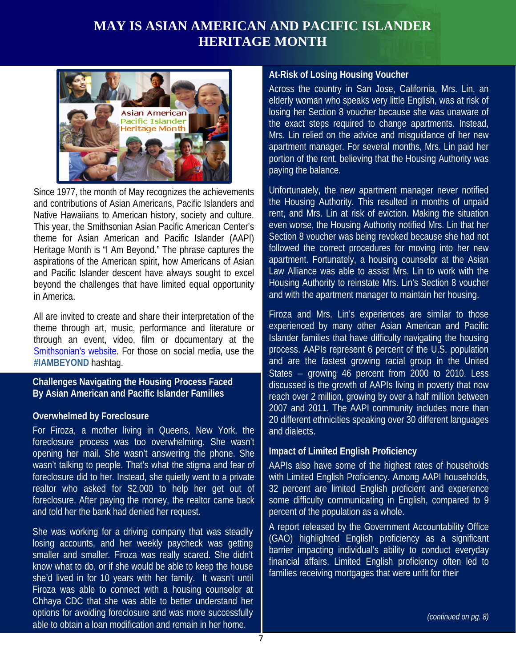## **MAY IS ASIAN AMERICAN AND PACIFIC ISLANDER HERITAGE MONTH**



Since 1977, the month of May recognizes the achievements and contributions of Asian Americans, Pacific Islanders and Native Hawaiians to American history, society and culture. This year, the Smithsonian Asian Pacific American Center's theme for Asian American and Pacific Islander (AAPI) Heritage Month is "I Am Beyond." The phrase captures the aspirations of the American spirit, how Americans of Asian and Pacific Islander descent have always sought to excel beyond the challenges that have limited equal opportunity in America.

All are invited to create and share their interpretation of the theme through art, music, performance and literature or through an event, video, film or documentary at the [Smithsonian's website.](http://www.apa.si.edu/) For those on social media, use the **[#IAMBEYOND](https://twitter.com/search?src=typd&q=%23IAMBeyond)** hashtag.

#### **Challenges Navigating the Housing Process Faced By Asian American and Pacific Islander Families**

#### **Overwhelmed by Foreclosure**

For Firoza, a mother living in Queens, New York, the foreclosure process was too overwhelming. She wasn't opening her mail. She wasn't answering the phone. She wasn't talking to people. That's what the stigma and fear of foreclosure did to her. Instead, she quietly went to a private realtor who asked for \$2,000 to help her get out of foreclosure. After paying the money, the realtor came back and told her the bank had denied her request.

She was working for a driving company that was steadily losing accounts, and her weekly paycheck was getting smaller and smaller. Firoza was really scared. She didn't know what to do, or if she would be able to keep the house she'd lived in for 10 years with her family. It wasn't until Firoza was able to connect with a housing counselor at Chhaya CDC that she was able to better understand her options for avoiding foreclosure and was more successfully able to obtain a loan modification and remain in her home.

#### **At-Risk of Losing Housing Voucher**

Across the country in San Jose, California, Mrs. Lin, an elderly woman who speaks very little English, was at risk of losing her Section 8 voucher because she was unaware of the exact steps required to change apartments. Instead, Mrs. Lin relied on the advice and misguidance of her new apartment manager. For several months, Mrs. Lin paid her portion of the rent, believing that the Housing Authority was paying the balance.

Unfortunately, the new apartment manager never notified the Housing Authority. This resulted in months of unpaid rent, and Mrs. Lin at risk of eviction. Making the situation even worse, the Housing Authority notified Mrs. Lin that her Section 8 voucher was being revoked because she had not followed the correct procedures for moving into her new apartment. Fortunately, a housing counselor at the Asian Law Alliance was able to assist Mrs. Lin to work with the Housing Authority to reinstate Mrs. Lin's Section 8 voucher and with the apartment manager to maintain her housing.

formance and literature or a experienced by many other Asian American and Pacific<br>1 or documentary at the a Islander families that have difficulty navigating the housing Firoza and Mrs. Lin's experiences are similar to those experienced by many other Asian American and Pacific process. AAPIs represent 6 percent of the U.S. population and are the fastest growing racial group in the United States – growing 46 percent from 2000 to 2010. Less discussed is the growth of AAPIs living in poverty that now reach over 2 million, growing by over a half million between 2007 and 2011. The AAPI community includes more than 20 different ethnicities speaking over 30 different languages and dialects.

#### **Impact of Limited English Proficiency**

AAPIs also have some of the highest rates of households with Limited English Proficiency. Among AAPI households, 32 percent are limited English proficient and experience some difficulty communicating in English, compared to 9 percent of the population as a whole.

A report released by the Government Accountability Office (GAO) highlighted English proficiency as a significant barrier impacting individual's ability to conduct everyday financial affairs. Limited English proficiency often led to families receiving mortgages that were unfit for their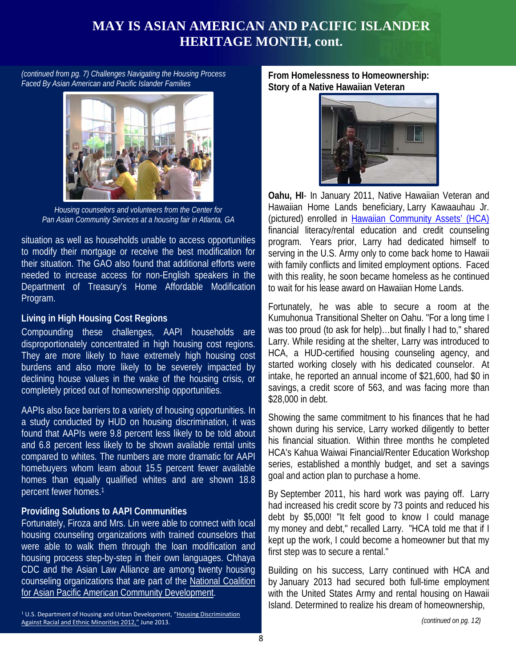## **MAY IS ASIAN AMERICAN AND PACIFIC ISLANDER HERITAGE MONTH, cont.**

*(continued from pg. 7) Challenges Navigating the Housing Process Faced By Asian American and Pacific Islander Families*



*Housing counselors and volunteers from the Center for Pan Asian Community Services at a housing fair in Atlanta, GA*

situation as well as households unable to access opportunities to modify their mortgage or receive the best modification for their situation. The GAO also found that additional efforts were needed to increase access for non-English speakers in the Department of Treasury's Home Affordable Modification Program.

#### **Living in High Housing Cost Regions**

Compounding these challenges, AAPI households are was too proud (to ask for disproportionately concentrated in high housing cost regions. They are more likely to have extremely high housing cost burdens and also more likely to be severely impacted by declining house values in the wake of the housing crisis, or completely priced out of homeownership opportunities.

AAPIs also face barriers to a variety of housing opportunities. In a study conducted by HUD on housing discrimination, it was found that AAPIs were 9.8 percent less likely to be told about and 6.8 percent less likely to be shown available rental units compared to whites. The numbers are more dramatic for AAPI homebuyers whom learn about 15.5 percent fewer available homes than equally qualified whites and are shown 18.8 percent fewer homes.1

#### **Providing Solutions to AAPI Communities**

Fortunately, Firoza and Mrs. Lin were able to connect with local housing counseling organizations with trained counselors that were able to walk them through the loan modification and housing process step-by-step in their own languages. Chhaya CDC and the Asian Law Alliance are among twenty housing counseling organizations that are part of the [National Coalition](http://www.nationalcapacd.org/)  [for Asian Pacific American Community Development.](http://www.nationalcapacd.org/)

<sup>1</sup> U.S. Department of Housing and Urban Development, ["Housing Discrimination](http://www.huduser.org/portal/publications/fairhsg/hsg_discrimination_2012.html)  [Against Racial and Ethnic Minorities 2012,"](http://www.huduser.org/portal/publications/fairhsg/hsg_discrimination_2012.html) June 2013.

**From Homelessness to Homeownership: Story of a Native Hawaiian Veteran**



**Oahu, HI**- In January 2011, Native Hawaiian Veteran and Hawaiian Home Lands beneficiary, Larry Kawaauhau Jr. (pictured) enrolled in [Hawaiian Community Assets' \(HCA\)](http://hawaiiancommunity.net/) financial literacy/rental education and credit counseling program. Years prior, Larry had dedicated himself to serving in the U.S. Army only to come back home to Hawaii with family conflicts and limited employment options. Faced with this reality, he soon became homeless as he continued to wait for his lease award on Hawaiian Home Lands.

Fortunately, he was able to secure a room at the Kumuhonua Transitional Shelter on Oahu. "For a long time I was too proud (to ask for help)...but finally I had to," shared Larry. While residing at the shelter, Larry was introduced to HCA, a HUD-certified housing counseling agency, and started working closely with his dedicated counselor. At intake, he reported an annual income of \$21,600, had \$0 in savings, a credit score of 563, and was facing more than \$28,000 in debt.

Showing the same commitment to his finances that he had shown during his service, Larry worked diligently to better his financial situation. Within three months he completed HCA's Kahua Waiwai Financial/Renter Education Workshop series, established a monthly budget, and set a savings goal and action plan to purchase a home.

By September 2011, his hard work was paying off. Larry had increased his credit score by 73 points and reduced his debt by \$5,000! "It felt good to know I could manage my money and debt," recalled Larry. "HCA told me that if I kept up the work, I could become a homeowner but that my first step was to secure a rental."

Building on his success, Larry continued with HCA and by January 2013 had secured both full-time employment with the United States Army and rental housing on Hawaii Island. Determined to realize his dream of homeownership,

*(continued on pg. 12)*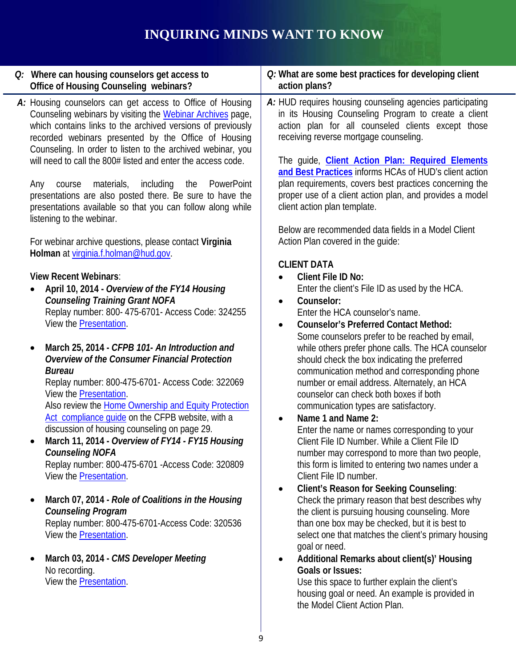## **INQUIRING MINDS WANT TO KNOW**

| Q: Where can housing counselors get access to<br>Office of Housing Counseling webinars?                                                                                                                                                                                                                                                                                                                                                                                                                                                                                                                                                                                                                                                                                                                                                                                                                                                                                                                                                                                                                                                                                                                                                                                                                                                                                                                                                                                                                                                                                                                                                                                                                                                            | Q: What are some best practices for developing client<br>action plans?                                                                                                                                                                                                                                                                                                                                                                                                                                                                                                                                                                                                                                                                                                                                                                                                                                                                                                                                                                                                                                                                                                                                                                                                                                                                                                                                                                                                                                                                                                                                                                                                                                                                                                                                                                                                                                                                                                           |
|----------------------------------------------------------------------------------------------------------------------------------------------------------------------------------------------------------------------------------------------------------------------------------------------------------------------------------------------------------------------------------------------------------------------------------------------------------------------------------------------------------------------------------------------------------------------------------------------------------------------------------------------------------------------------------------------------------------------------------------------------------------------------------------------------------------------------------------------------------------------------------------------------------------------------------------------------------------------------------------------------------------------------------------------------------------------------------------------------------------------------------------------------------------------------------------------------------------------------------------------------------------------------------------------------------------------------------------------------------------------------------------------------------------------------------------------------------------------------------------------------------------------------------------------------------------------------------------------------------------------------------------------------------------------------------------------------------------------------------------------------|----------------------------------------------------------------------------------------------------------------------------------------------------------------------------------------------------------------------------------------------------------------------------------------------------------------------------------------------------------------------------------------------------------------------------------------------------------------------------------------------------------------------------------------------------------------------------------------------------------------------------------------------------------------------------------------------------------------------------------------------------------------------------------------------------------------------------------------------------------------------------------------------------------------------------------------------------------------------------------------------------------------------------------------------------------------------------------------------------------------------------------------------------------------------------------------------------------------------------------------------------------------------------------------------------------------------------------------------------------------------------------------------------------------------------------------------------------------------------------------------------------------------------------------------------------------------------------------------------------------------------------------------------------------------------------------------------------------------------------------------------------------------------------------------------------------------------------------------------------------------------------------------------------------------------------------------------------------------------------|
| A: Housing counselors can get access to Office of Housing<br>Counseling webinars by visiting the Webinar Archives page,<br>which contains links to the archived versions of previously<br>recorded webinars presented by the Office of Housing<br>Counseling. In order to listen to the archived webinar, you<br>will need to call the 800# listed and enter the access code.<br>materials,<br>including<br>the<br>PowerPoint<br>course<br>Any<br>presentations are also posted there. Be sure to have the<br>presentations available so that you can follow along while<br>listening to the webinar.<br>For webinar archive questions, please contact Virginia<br>Holman at virginia.f.holman@hud.gov.<br><b>View Recent Webinars:</b><br>April 10, 2014 - Overview of the FY14 Housing<br>$\bullet$<br><b>Counseling Training Grant NOFA</b><br>Replay number: 800- 475-6701- Access Code: 324255<br>View the Presentation.<br>March 25, 2014 - CFPB 101- An Introduction and<br>$\bullet$<br>Overview of the Consumer Financial Protection<br><b>Bureau</b><br>Replay number: 800-475-6701- Access Code: 322069<br>View the Presentation.<br>Also review the Home Ownership and Equity Protection<br>Act compliance quide on the CFPB website, with a<br>discussion of housing counseling on page 29.<br>March 11, 2014 - Overview of FY14 - FY15 Housing<br><b>Counseling NOFA</b><br>Replay number: 800-475-6701 - Access Code: 320809<br>View the <b>Presentation</b> .<br>March 07, 2014 - Role of Coalitions in the Housing<br><b>Counseling Program</b><br>Replay number: 800-475-6701-Access Code: 320536<br>View the <b>Presentation</b> .<br>March 03, 2014 - CMS Developer Meeting<br>No recording.<br>View the <b>Presentation</b> . | A: HUD requires housing counseling agencies participating<br>in its Housing Counseling Program to create a client<br>action plan for all counseled clients except those<br>receiving reverse mortgage counseling.<br>The guide, Client Action Plan: Required Elements<br>and Best Practices informs HCAs of HUD's client action<br>plan requirements, covers best practices concerning the<br>proper use of a client action plan, and provides a model<br>client action plan template.<br>Below are recommended data fields in a Model Client<br>Action Plan covered in the guide:<br><b>CLIENT DATA</b><br><b>Client File ID No:</b><br>$\bullet$<br>Enter the client's File ID as used by the HCA.<br>Counselor:<br>$\bullet$<br>Enter the HCA counselor's name.<br><b>Counselor's Preferred Contact Method:</b><br>$\bullet$<br>Some counselors prefer to be reached by email,<br>while others prefer phone calls. The HCA counselor<br>should check the box indicating the preferred<br>communication method and corresponding phone<br>number or email address. Alternately, an HCA<br>counselor can check both boxes if both<br>communication types are satisfactory.<br>Name 1 and Name 2:<br>$\bullet$<br>Enter the name or names corresponding to your<br>Client File ID Number. While a Client File ID<br>number may correspond to more than two people,<br>this form is limited to entering two names under a<br>Client File ID number.<br><b>Client's Reason for Seeking Counseling:</b><br>$\bullet$<br>Check the primary reason that best describes why<br>the client is pursuing housing counseling. More<br>than one box may be checked, but it is best to<br>select one that matches the client's primary housing<br>goal or need.<br>Additional Remarks about client(s)' Housing<br>$\bullet$<br><b>Goals or Issues:</b><br>Use this space to further explain the client's<br>housing goal or need. An example is provided in<br>the Model Client Action Plan. |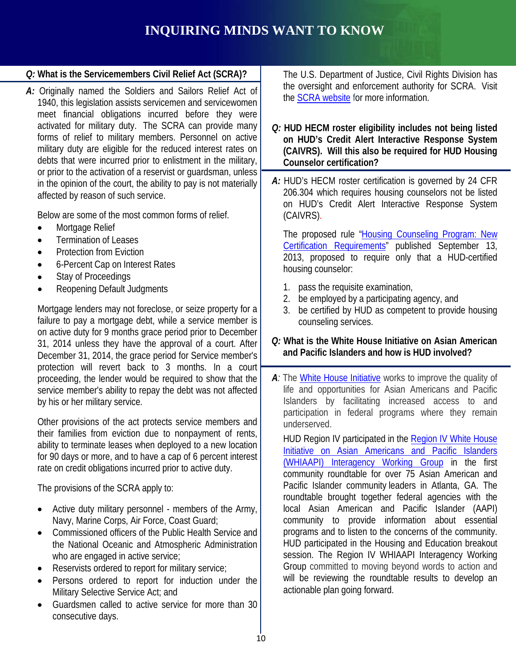## **INQUIRING MINDS WANT TO KNOW**

### *Q:* **What is the Servicemembers Civil Relief Act (SCRA)?**

*A:* Originally named the Soldiers and Sailors Relief Act of 1940, this legislation assists servicemen and servicewomen meet financial obligations incurred before they were activated for military duty. The SCRA can provide many forms of relief to military members. Personnel on active military duty are eligible for the reduced interest rates on debts that were incurred prior to enlistment in the military, or prior to the activation of a reservist or guardsman, unless in the opinion of the court, the ability to pay is not materially affected by reason of such service.

Below are some of the most common forms of relief.

- Mortgage Relief
- Termination of Leases
- Protection from Eviction
- 6-Percent Cap on Interest Rates
- Stay of Proceedings
- Reopening Default Judgments

on active duty for 9 months grace period prior to December Mortgage lenders may not foreclose, or seize property for a failure to pay a mortgage debt, while a service member is 31, 2014 unless they have the approval of a court. After December 31, 2014, the grace period for Service member's protection will revert back to 3 months. In a court proceeding, the lender would be required to show that the service member's ability to repay the debt was not affected by his or her military service.

Other provisions of the act protects service members and their families from eviction due to nonpayment of rents, ability to terminate leases when deployed to a new location for 90 days or more, and to have a cap of 6 percent interest rate on credit obligations incurred prior to active duty.

The provisions of the SCRA apply to:

- Active duty military personnel - members of the Army, Navy, Marine Corps, Air Force, Coast Guard;
- Commissioned officers of the Public Health Service and the National Oceanic and Atmospheric Administration who are engaged in active service;
- Reservists ordered to report for military service;
- Persons ordered to report for induction under the Military Selective Service Act; and
- Guardsmen called to active service for more than 30 consecutive days.

The U.S. Department of Justice, Civil Rights Division has the oversight and enforcement authority for SCRA. Visit the [SCRA website](http://portal.hud.gov/hudportal/documents/huddoc?id=92070.pdf) for more information.

*Q:* **HUD HECM roster eligibility includes not being listed on HUD's Credit Alert Interactive Response System (CAIVRS). Will this also be required for HUD Housing Counselor certification?**

*A:* HUD's HECM roster certification is governed by 24 CFR 206.304 which requires housing counselors not be listed on HUD's Credit Alert Interactive Response System (CAIVRS).

The proposed rule ["Housing Counseling Program: New](https://www.federalregister.gov/articles/2013/09/13/2013-22229/housing-counseling-program-new-certification-requirements)  [Certification Requirements"](https://www.federalregister.gov/articles/2013/09/13/2013-22229/housing-counseling-program-new-certification-requirements) published September 13, 2013, proposed to require only that a HUD-certified housing counselor:

- 1. pass the requisite examination,
- 2. be employed by a participating agency, and
- 3. be certified by HUD as competent to provide housing counseling services.
- *Q:* **What is the White House Initiative on Asian American and Pacific Islanders and how is HUD involved?**
- *A:* The [White House Initiative](http://www.whitehouse.gov/administration/eop/aapi/about) works to improve the quality of life and opportunities for Asian Americans and Pacific Islanders by facilitating increased access to and participation in federal programs where they remain underserved.

HUD Region IV participated in the [Region IV White House](http://www.whitehouse.gov/blog/2014/03/27/meeting-atlanta-s-aapi-community)  [Initiative on Asian Americans and Pacific Islanders](http://www.whitehouse.gov/blog/2014/03/27/meeting-atlanta-s-aapi-community)  [\(WHIAAPI\) Interagency Working Group](http://www.whitehouse.gov/blog/2014/03/27/meeting-atlanta-s-aapi-community) in the first community roundtable for over 75 Asian American and Pacific Islander community leaders in Atlanta, GA. The roundtable brought together federal agencies with the local Asian American and Pacific Islander (AAPI) community to provide information about essential programs and to listen to the concerns of the community. HUD participated in the Housing and Education breakout session. The Region IV WHIAAPI Interagency Working Group committed to moving beyond words to action and will be reviewing the roundtable results to develop an actionable plan going forward.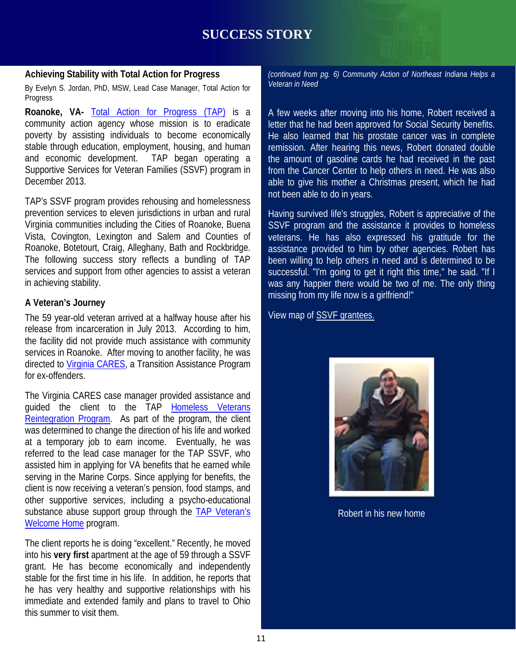## **SUCCESS STORY**

#### **Achieving Stability with Total Action for Progress**

 By Evelyn S. Jordan, PhD, MSW, Lead Case Manager, Total Action for Progress

**Roanoke, VA-** [Total Action for Progress \(TAP\)](http://www.tapintohope.org/) is a community action agency whose mission is to eradicate poverty by assisting individuals to become economically stable through education, employment, housing, and human and economic development. TAP began operating a Supportive Services for Veteran Families (SSVF) program in December 2013.

TAP's SSVF program provides rehousing and homelessness prevention services to eleven jurisdictions in urban and rural Virginia communities including the Cities of Roanoke, Buena Vista, Covington, Lexington and Salem and Counties of Roanoke, Botetourt, Craig, Alleghany, Bath and Rockbridge. The following success story reflects a bundling of TAP services and support from other agencies to assist a veteran in achieving stability.

#### **A Veteran's Journey**

release from incarceration in July 2013. According to him,<br>the facility did not provide much assistance with community The 59 year-old veteran arrived at a halfway house after his the facility did not provide much assistance with community services in Roanoke. After moving to another facility, he was directed to [Virginia CARES,](http://www.vacares.org/) a Transition Assistance Program for ex-offenders.

The Virginia CARES case manager provided assistance and guided the client to the TAP Homeless Veterans [Reintegration Program.](http://www.dol.gov/vets/programs/fact/Homeless_veterans_fs04.htm) As part of the program, the client was determined to change the direction of his life and worked at a temporary job to earn income. Eventually, he was referred to the lead case manager for the TAP SSVF, who assisted him in applying for VA benefits that he earned while serving in the Marine Corps. Since applying for benefits, the client is now receiving a veteran's pension, food stamps, and other supportive services, including a psycho-educational substance abuse support group through the TAP Veteran's [Welcome Home](http://www.tapintohope.org/VeteransProgram.aspx) program.

The client reports he is doing "excellent." Recently, he moved into his **very first** apartment at the age of 59 through a SSVF grant. He has become economically and independently stable for the first time in his life. In addition, he reports that he has very healthy and supportive relationships with his immediate and extended family and plans to travel to Ohio this summer to visit them.

*(continued from pg. 6) Community Action of Northeast Indiana Helps a Veteran in Need*

A few weeks after moving into his home, Robert received a letter that he had been approved for Social Security benefits. He also learned that his prostate cancer was in complete remission. After hearing this news, Robert donated double the amount of gasoline cards he had received in the past from the Cancer Center to help others in need. He was also able to give his mother a Christmas present, which he had not been able to do in years.

Having survived life's struggles, Robert is appreciative of the SSVF program and the assistance it provides to homeless veterans. He has also expressed his gratitude for the assistance provided to him by other agencies. Robert has been willing to help others in need and is determined to be successful. "I'm going to get it right this time," he said. "If I was any happier there would be two of me. The only thing missing from my life now is a girlfriend!"

View map of [SSVF grantees.](http://www.va.gov/HOMELESS/docs/SSVF/SSVF_Grantee_Map.jpeg) 



Robert in his new home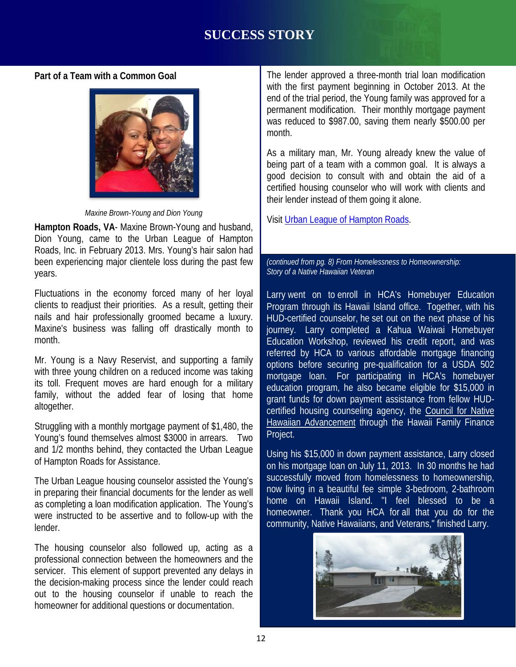#### **Part of a Team with a Common Goal**



*Maxine Brown-Young and Dion Young*

**Hampton Roads, VA**- Maxine Brown-Young and husband, Dion Young, came to the Urban League of Hampton Roads, Inc. in February 2013. Mrs. Young's hair salon had been experiencing major clientele loss during the past few years.

Fluctuations in the economy forced many of her loyal clients to readjust their priorities. As a result, getting their nails and hair professionally groomed became a luxury. Maxine's business was falling off drastically month to month.

Mr. Young is a Navy Reservist, and supporting a family with three young children on a reduced income was taking its toll. Frequent moves are hard enough for a military family, without the added fear of losing that home altogether.

Struggling with a monthly mortgage payment of \$1,480, the Young's found themselves almost \$3000 in arrears. Two and 1/2 months behind, they contacted the Urban League of Hampton Roads for Assistance.

The Urban League housing counselor assisted the Young's in preparing their financial documents for the lender as well as completing a loan modification application. The Young's were instructed to be assertive and to follow-up with the lender.

The housing counselor also followed up, acting as a professional connection between the homeowners and the servicer. This element of support prevented any delays in the decision-making process since the lender could reach out to the housing counselor if unable to reach the homeowner for additional questions or documentation.

The lender approved a three-month trial loan modification with the first payment beginning in October 2013. At the end of the trial period, the Young family was approved for a permanent modification. Their monthly mortgage payment was reduced to \$987.00, saving them nearly \$500.00 per month.

As a military man, Mr. Young already knew the value of being part of a team with a common goal. It is always a good decision to consult with and obtain the aid of a certified housing counselor who will work with clients and their lender instead of them going it alone.

Visit [Urban League of Hampton Roads.](http://www.ulhr.org/)

*(continued from pg. 8) From Homelessness to Homeownership: Story of a Native Hawaiian Veteran*

I off drastically month to **journey.** Larry completed a Kahua Waiwai Homebuyer<br>Education Warkshap ravioued bis credit rapert, and was Larry went on to enroll in HCA's Homebuyer Education Program through its Hawaii Island office. Together, with his HUD-certified counselor, he set out on the next phase of his Education Workshop, reviewed his credit report, and was referred by HCA to various affordable mortgage financing options before securing pre-qualification for a USDA 502 mortgage loan. For participating in HCA's homebuyer education program, he also became eligible for \$15,000 in grant funds for down payment assistance from fellow HUDcertified housing counseling agency, the [Council for Native](http://www.hawaiiancouncil.org/)  [Hawaiian Advancement](http://www.hawaiiancouncil.org/) through the Hawaii Family Finance Project.

> Using his \$15,000 in down payment assistance, Larry closed on his mortgage loan on July 11, 2013. In 30 months he had successfully moved from homelessness to homeownership, now living in a beautiful fee simple 3-bedroom, 2-bathroom home on Hawaii Island. "I feel blessed to be a homeowner. Thank you HCA for all that you do for the community, Native Hawaiians, and Veterans," finished Larry.